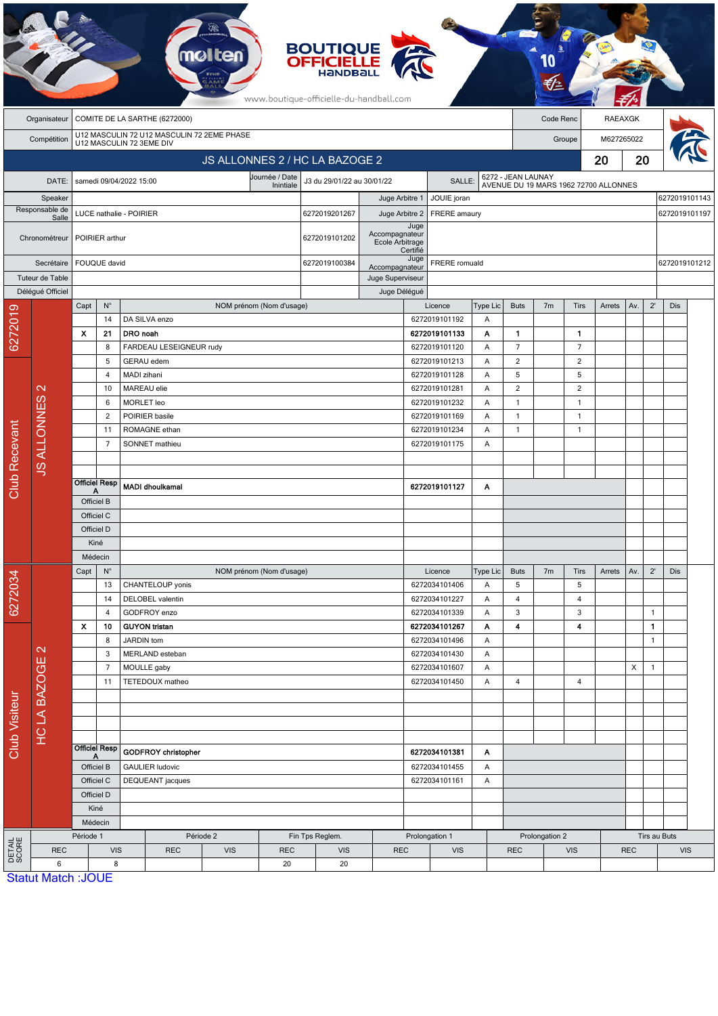|                 |                                               |                                                                 |                                        | mo                                                                     |                          |                                | <b>BOUTIQUE</b><br><b>OFFICIELLE</b><br>HANDBALL<br>www.boutique-officielle-du-handball.com |                                                                         |                                           |                                |                                                                            |                                |                |                                  |                            |               |                                |            |  |
|-----------------|-----------------------------------------------|-----------------------------------------------------------------|----------------------------------------|------------------------------------------------------------------------|--------------------------|--------------------------------|---------------------------------------------------------------------------------------------|-------------------------------------------------------------------------|-------------------------------------------|--------------------------------|----------------------------------------------------------------------------|--------------------------------|----------------|----------------------------------|----------------------------|---------------|--------------------------------|------------|--|
|                 | COMITE DE LA SARTHE (6272000)<br>Organisateur |                                                                 |                                        |                                                                        |                          |                                |                                                                                             |                                                                         |                                           | Code Renc<br><b>RAEAXGK</b>    |                                                                            |                                |                |                                  |                            |               |                                |            |  |
|                 | Compétition                                   |                                                                 |                                        | U12 MASCULIN 72 U12 MASCULIN 72 2EME PHASE<br>U12 MASCULIN 72 3EME DIV |                          |                                |                                                                                             |                                                                         |                                           | M627265022<br>Groupe           |                                                                            |                                |                |                                  |                            |               |                                |            |  |
|                 |                                               |                                                                 |                                        |                                                                        |                          | JS ALLONNES 2 / HC LA BAZOGE 2 |                                                                                             |                                                                         |                                           |                                |                                                                            |                                | 20             | 20                               |                            |               |                                |            |  |
|                 |                                               | Journée / Date<br>samedi 09/04/2022 15:00                       |                                        |                                                                        |                          |                                | J3 du 29/01/22 au 30/01/22<br><b>SALLE</b>                                                  |                                                                         |                                           |                                |                                                                            |                                |                |                                  |                            |               |                                |            |  |
|                 | DATE:                                         |                                                                 |                                        |                                                                        |                          | Inintiale                      |                                                                                             |                                                                         |                                           |                                | 6272 - JEAN LAUNAY<br>AVENUE DU 19 MARS 1962 72700 ALLONNES<br>JOUIE joran |                                |                |                                  |                            |               |                                |            |  |
|                 | Speaker<br>Responsable de                     |                                                                 |                                        |                                                                        |                          | 6272019201267                  |                                                                                             | Juge Arbitre 1<br>Juge Arbitre 2<br>FRERE amaury                        |                                           |                                |                                                                            |                                |                |                                  |                            |               | 6272019101143<br>6272019101197 |            |  |
|                 | Salle<br>Chronométreur                        | LUCE nathalie - POIRIER<br>POIRIER arthur                       |                                        |                                                                        |                          |                                | 6272019101202                                                                               |                                                                         | Juge<br>Accompagnateur<br>Ecole Arbitrage |                                |                                                                            |                                |                |                                  |                            |               |                                |            |  |
|                 | Secrétaire<br>Tuteur de Table                 | FOUQUE david                                                    |                                        |                                                                        |                          |                                | 6272019100384                                                                               | Certifié<br>Juge<br>FRERE romuald<br>Accompagnateur<br>Juge Superviseur |                                           |                                |                                                                            |                                |                |                                  |                            | 6272019101212 |                                |            |  |
|                 | Déléqué Officiel                              |                                                                 |                                        |                                                                        |                          | Juge Délégué                   |                                                                                             |                                                                         |                                           |                                |                                                                            |                                |                |                                  |                            |               |                                |            |  |
|                 |                                               | Capt                                                            | $N^{\circ}$<br>14                      | DA SILVA enzo                                                          | NOM prénom (Nom d'usage) |                                |                                                                                             |                                                                         |                                           | Licence<br>6272019101192       | <b>Type Lic</b><br>A                                                       | <b>Buts</b>                    | 7 <sub>m</sub> | Tirs                             | Arrets                     | Av.           | $2^{\prime}$                   | Dis        |  |
| 6272019         |                                               | x                                                               | 21                                     | DRO noah                                                               |                          |                                |                                                                                             |                                                                         |                                           | 6272019101133                  | Α                                                                          | $\mathbf{1}$                   |                | $\mathbf{1}$                     |                            |               |                                |            |  |
|                 |                                               |                                                                 | 8                                      | FARDEAU LESEIGNEUR rudy                                                |                          |                                |                                                                                             |                                                                         |                                           | 6272019101120                  | Α                                                                          | $\overline{7}$                 |                | $\overline{7}$                   |                            |               |                                |            |  |
|                 |                                               |                                                                 | 5                                      | GERAU edem                                                             |                          |                                |                                                                                             |                                                                         |                                           | 6272019101213                  | Α                                                                          | $\overline{2}$                 |                | $\overline{2}$                   |                            |               |                                |            |  |
|                 |                                               |                                                                 | 4                                      | MADI zihani                                                            |                          |                                |                                                                                             |                                                                         |                                           | 6272019101128                  | Α                                                                          | 5                              |                | 5                                |                            |               |                                |            |  |
|                 | $\mathbf{\Omega}$                             |                                                                 | MAREAU elie<br>10                      |                                                                        |                          |                                |                                                                                             |                                                                         |                                           | 6272019101281                  | A                                                                          | $\overline{2}$<br>$\mathbf{1}$ |                | 2                                |                            |               |                                |            |  |
|                 |                                               |                                                                 | MORLET leo<br>6<br>POIRIER basile<br>2 |                                                                        |                          |                                |                                                                                             |                                                                         |                                           | 6272019101232<br>6272019101169 | Α<br>Α                                                                     | 1                              |                | $\overline{1}$<br>$\overline{1}$ |                            |               |                                |            |  |
|                 |                                               |                                                                 | ROMAGNE ethan<br>11                    |                                                                        |                          |                                |                                                                                             |                                                                         |                                           | 6272019101234                  | Α                                                                          | 1                              |                | $\mathbf{1}$                     |                            |               |                                |            |  |
|                 | <b>JS ALLONNES</b>                            |                                                                 | $\overline{7}$                         | SONNET mathieu                                                         |                          |                                |                                                                                             |                                                                         |                                           | 6272019101175                  | A                                                                          |                                |                |                                  |                            |               |                                |            |  |
|                 |                                               |                                                                 |                                        |                                                                        |                          |                                |                                                                                             |                                                                         |                                           |                                |                                                                            |                                |                |                                  |                            |               |                                |            |  |
|                 |                                               |                                                                 |                                        |                                                                        |                          |                                |                                                                                             |                                                                         |                                           |                                |                                                                            |                                |                |                                  |                            |               |                                |            |  |
| Club Recevant   |                                               | <b>Officiel Resp</b><br>А                                       |                                        | <b>MADI dhoulkamal</b>                                                 |                          |                                |                                                                                             |                                                                         |                                           | 6272019101127                  | A                                                                          |                                |                |                                  |                            |               |                                |            |  |
|                 |                                               | Officiel B                                                      |                                        |                                                                        |                          |                                |                                                                                             |                                                                         |                                           |                                |                                                                            |                                |                |                                  |                            |               |                                |            |  |
|                 |                                               | Officiel C<br>Officiel D                                        |                                        |                                                                        |                          |                                |                                                                                             |                                                                         |                                           |                                |                                                                            |                                |                |                                  |                            |               |                                |            |  |
|                 |                                               | Kiné                                                            |                                        |                                                                        |                          |                                |                                                                                             |                                                                         |                                           |                                |                                                                            |                                |                |                                  |                            |               |                                |            |  |
|                 |                                               | Médecin                                                         |                                        |                                                                        |                          |                                |                                                                                             |                                                                         |                                           |                                |                                                                            |                                |                |                                  |                            |               |                                |            |  |
|                 |                                               | Capt                                                            | $N^{\circ}$                            |                                                                        | NOM prénom (Nom d'usage) |                                |                                                                                             |                                                                         |                                           | Licence                        | Type Lic                                                                   | <b>Buts</b>                    | 7 <sub>m</sub> | Tirs                             | Arrets                     | Av.           | $2^{\prime}$                   | Dis        |  |
| 6272034         |                                               |                                                                 | 13                                     | CHANTELOUP yonis                                                       |                          |                                |                                                                                             |                                                                         |                                           | 6272034101406                  | A                                                                          | $\sqrt{5}$                     |                | 5                                |                            |               |                                |            |  |
|                 |                                               |                                                                 | 14                                     | DELOBEL valentin                                                       |                          |                                |                                                                                             |                                                                         |                                           | 6272034101227                  | A                                                                          | 4                              |                | 4                                |                            |               |                                |            |  |
|                 |                                               |                                                                 | 4                                      | GODFROY enzo                                                           |                          |                                |                                                                                             |                                                                         |                                           | 6272034101339                  | Α                                                                          | 3                              |                | 3                                |                            |               | $\mathbf{1}$                   |            |  |
|                 | $\mathbf{\Omega}$<br><b>HCLA BAZOGE</b>       | x                                                               | 10<br>8                                | <b>GUYON tristan</b><br>JARDIN tom                                     |                          |                                |                                                                                             |                                                                         |                                           | 6272034101267<br>6272034101496 | Α<br>A                                                                     | 4                              |                | 4                                |                            |               | $\blacksquare$<br>$\mathbf{1}$ |            |  |
|                 |                                               |                                                                 | 3                                      | MERLAND esteban                                                        |                          |                                |                                                                                             |                                                                         |                                           | 6272034101430                  | Α                                                                          |                                |                |                                  |                            |               |                                |            |  |
|                 |                                               |                                                                 | $\overline{7}$                         | MOULLE gaby                                                            |                          |                                |                                                                                             |                                                                         |                                           | 6272034101607                  | A                                                                          |                                |                |                                  |                            | X             | $\mathbf{1}$                   |            |  |
|                 |                                               |                                                                 | 11                                     | TETEDOUX matheo                                                        |                          |                                |                                                                                             |                                                                         |                                           | 6272034101450                  | A                                                                          | 4                              |                | 4                                |                            |               |                                |            |  |
|                 |                                               |                                                                 |                                        |                                                                        |                          |                                |                                                                                             |                                                                         |                                           |                                |                                                                            |                                |                |                                  |                            |               |                                |            |  |
|                 |                                               |                                                                 |                                        |                                                                        |                          |                                |                                                                                             |                                                                         |                                           |                                |                                                                            |                                |                |                                  |                            |               |                                |            |  |
|                 |                                               |                                                                 |                                        |                                                                        |                          |                                |                                                                                             |                                                                         |                                           |                                |                                                                            |                                |                |                                  |                            |               |                                |            |  |
| Club Visiteur   |                                               | Officiel Resp<br>Officiel B<br>Officiel C<br>Officiel D<br>Kiné |                                        | GODFROY christopher                                                    |                          |                                |                                                                                             |                                                                         | 6272034101381                             | Α                              |                                                                            |                                |                |                                  |                            |               |                                |            |  |
|                 |                                               |                                                                 |                                        | <b>GAULIER ludovic</b>                                                 |                          |                                |                                                                                             | 6272034101455<br>A                                                      |                                           |                                |                                                                            |                                |                |                                  |                            |               |                                |            |  |
|                 |                                               |                                                                 |                                        | DEQUEANT jacques                                                       |                          |                                |                                                                                             | 6272034101161                                                           |                                           | Α                              |                                                                            |                                |                |                                  |                            |               |                                |            |  |
|                 |                                               |                                                                 |                                        |                                                                        |                          |                                |                                                                                             |                                                                         |                                           |                                |                                                                            |                                |                |                                  |                            |               |                                |            |  |
|                 |                                               |                                                                 |                                        |                                                                        |                          |                                |                                                                                             |                                                                         |                                           |                                |                                                                            |                                |                |                                  |                            |               |                                |            |  |
|                 |                                               | Médecin                                                         |                                        |                                                                        |                          |                                |                                                                                             |                                                                         |                                           |                                |                                                                            |                                |                |                                  |                            |               |                                |            |  |
|                 |                                               | Période 1                                                       |                                        | Période 2<br>Fin Tps Reglem.                                           |                          |                                |                                                                                             | Prolongation 1                                                          |                                           |                                |                                                                            | Prolongation 2                 |                |                                  | Tirs au Buts<br><b>REC</b> |               |                                |            |  |
| DETAIL<br>SCORE | <b>REC</b><br>6                               | <b>VIS</b><br>8                                                 |                                        | <b>REC</b>                                                             | <b>VIS</b>               | 20                             | <b>REC</b><br><b>VIS</b><br>20                                                              |                                                                         | <b>REC</b><br><b>VIS</b>                  |                                |                                                                            | <b>REC</b>                     |                | <b>VIS</b>                       |                            |               |                                | <b>VIS</b> |  |
|                 |                                               | <b>Statut Match: JOUE</b>                                       |                                        |                                                                        |                          |                                |                                                                                             |                                                                         |                                           |                                |                                                                            |                                |                |                                  |                            |               |                                |            |  |